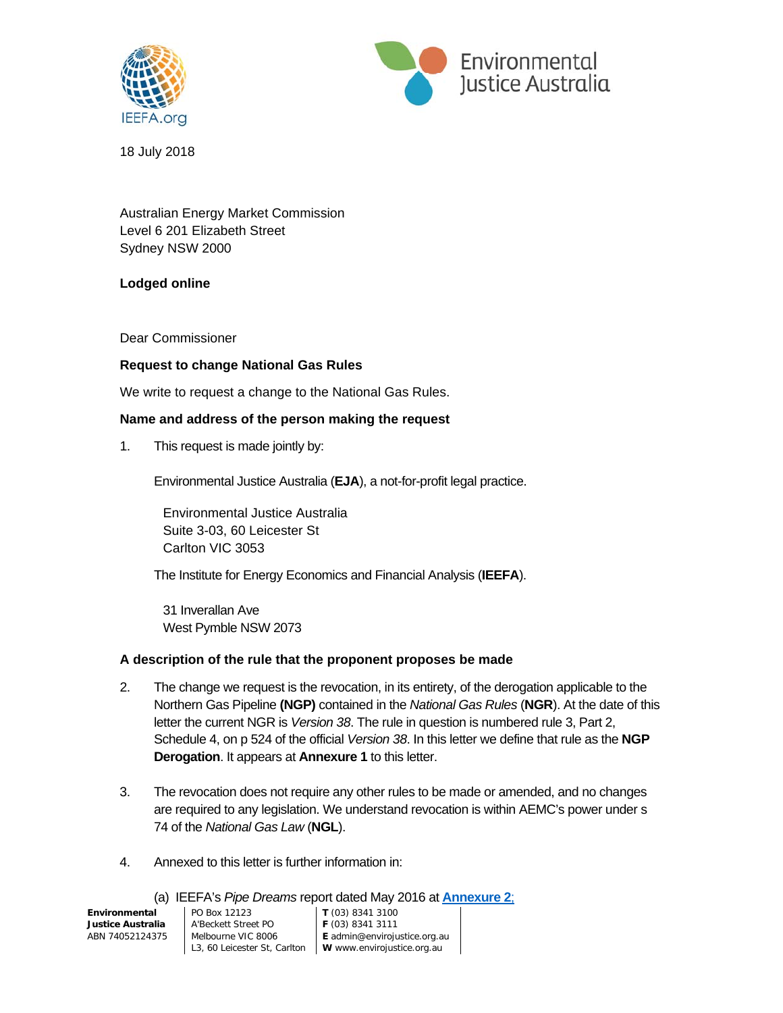



18 July 2018

Australian Energy Market Commission Level 6 201 Elizabeth Street Sydney NSW 2000

### **Lodged online**

Dear Commissioner

### **Request to change National Gas Rules**

We write to request a change to the National Gas Rules.

#### **Name and address of the person making the request**

1. This request is made jointly by:

Environmental Justice Australia (**EJA**), a not-for-profit legal practice.

Environmental Justice Australia Suite 3-03, 60 Leicester St Carlton VIC 3053

The Institute for Energy Economics and Financial Analysis (**IEEFA**).

 31 Inverallan Ave West Pymble NSW 2073

#### **A description of the rule that the proponent proposes be made**

- 2. The change we request is the revocation, in its entirety, of the derogation applicable to the Northern Gas Pipeline **(NGP)** contained in the *National Gas Rules* (**NGR**). At the date of this letter the current NGR is *Version 38*. The rule in question is numbered rule 3, Part 2, Schedule 4, on p 524 of the official *Version 38*. In this letter we define that rule as the **NGP Derogation**. It appears at **Annexure 1** to this letter.
- 3. The revocation does not require any other rules to be made or amended, and no changes are required to any legislation. We understand revocation is within AEMC's power under s 74 of the *National Gas Law* (**NGL**).
- 4. Annexed to this letter is further information in:

#### (a) IEEFA's *Pipe Dreams* report dated May 2016 at **Annexure 2**;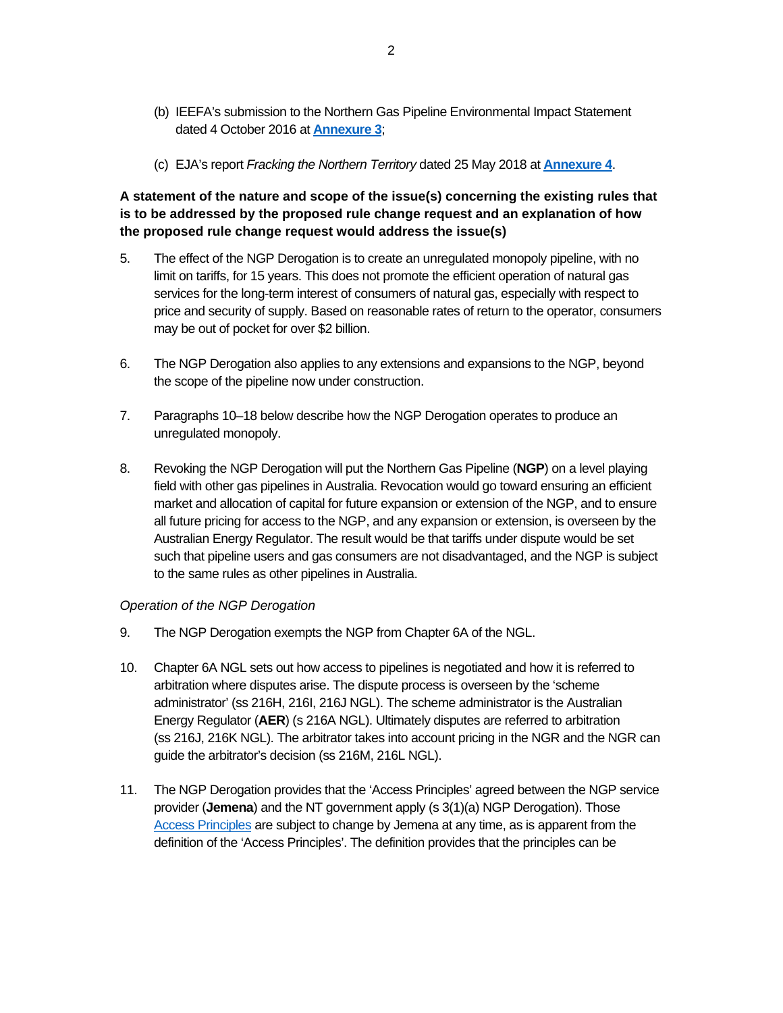- (b) IEEFA's submission to the Northern Gas Pipeline Environmental Impact Statement dated 4 October 2016 at **Annexure 3**;
- (c) EJA's report *Fracking the Northern Territory* dated 25 May 2018 at **Annexure 4**.

**A statement of the nature and scope of the issue(s) concerning the existing rules that is to be addressed by the proposed rule change request and an explanation of how the proposed rule change request would address the issue(s)** 

- 5. The effect of the NGP Derogation is to create an unregulated monopoly pipeline, with no limit on tariffs, for 15 years. This does not promote the efficient operation of natural gas services for the long-term interest of consumers of natural gas, especially with respect to price and security of supply. Based on reasonable rates of return to the operator, consumers may be out of pocket for over \$2 billion.
- 6. The NGP Derogation also applies to any extensions and expansions to the NGP, beyond the scope of the pipeline now under construction.
- 7. Paragraphs 10–18 below describe how the NGP Derogation operates to produce an unregulated monopoly.
- 8. Revoking the NGP Derogation will put the Northern Gas Pipeline (**NGP**) on a level playing field with other gas pipelines in Australia. Revocation would go toward ensuring an efficient market and allocation of capital for future expansion or extension of the NGP, and to ensure all future pricing for access to the NGP, and any expansion or extension, is overseen by the Australian Energy Regulator. The result would be that tariffs under dispute would be set such that pipeline users and gas consumers are not disadvantaged, and the NGP is subject to the same rules as other pipelines in Australia.

#### *Operation of the NGP Derogation*

- 9. The NGP Derogation exempts the NGP from Chapter 6A of the NGL.
- 10. Chapter 6A NGL sets out how access to pipelines is negotiated and how it is referred to arbitration where disputes arise. The dispute process is overseen by the 'scheme administrator' (ss 216H, 216I, 216J NGL). The scheme administrator is the Australian Energy Regulator (**AER**) (s 216A NGL). Ultimately disputes are referred to arbitration (ss 216J, 216K NGL). The arbitrator takes into account pricing in the NGR and the NGR can guide the arbitrator's decision (ss 216M, 216L NGL).
- 11. The NGP Derogation provides that the 'Access Principles' agreed between the NGP service provider (**Jemena**) and the NT government apply (s 3(1)(a) NGP Derogation). Those Access Principles are subject to change by Jemena at any time, as is apparent from the definition of the 'Access Principles'. The definition provides that the principles can be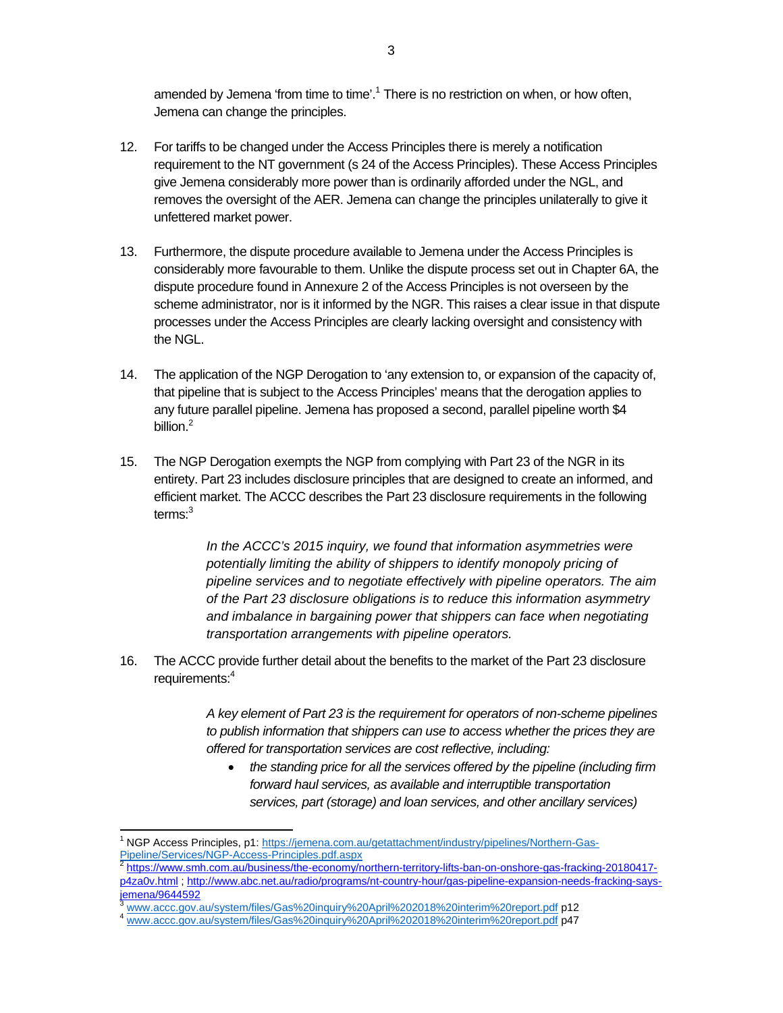amended by Jemena 'from time to time'.<sup>1</sup> There is no restriction on when, or how often, Jemena can change the principles.

- 12. For tariffs to be changed under the Access Principles there is merely a notification requirement to the NT government (s 24 of the Access Principles). These Access Principles give Jemena considerably more power than is ordinarily afforded under the NGL, and removes the oversight of the AER. Jemena can change the principles unilaterally to give it unfettered market power.
- 13. Furthermore, the dispute procedure available to Jemena under the Access Principles is considerably more favourable to them. Unlike the dispute process set out in Chapter 6A, the dispute procedure found in Annexure 2 of the Access Principles is not overseen by the scheme administrator, nor is it informed by the NGR. This raises a clear issue in that dispute processes under the Access Principles are clearly lacking oversight and consistency with the NGL.
- 14. The application of the NGP Derogation to 'any extension to, or expansion of the capacity of, that pipeline that is subject to the Access Principles' means that the derogation applies to any future parallel pipeline. Jemena has proposed a second, parallel pipeline worth \$4 billion.<sup>2</sup>
- 15. The NGP Derogation exempts the NGP from complying with Part 23 of the NGR in its entirety. Part 23 includes disclosure principles that are designed to create an informed, and efficient market. The ACCC describes the Part 23 disclosure requirements in the following terms:<sup>3</sup>

*In the ACCC's 2015 inquiry, we found that information asymmetries were potentially limiting the ability of shippers to identify monopoly pricing of pipeline services and to negotiate effectively with pipeline operators. The aim of the Part 23 disclosure obligations is to reduce this information asymmetry and imbalance in bargaining power that shippers can face when negotiating transportation arrangements with pipeline operators.*

16. The ACCC provide further detail about the benefits to the market of the Part 23 disclosure requirements:4

> *A key element of Part 23 is the requirement for operators of non-scheme pipelines to publish information that shippers can use to access whether the prices they are offered for transportation services are cost reflective, including:*

 *the standing price for all the services offered by the pipeline (including firm forward haul services, as available and interruptible transportation services, part (storage) and loan services, and other ancillary services)* 

 <sup>1</sup> NGP Access Principles, p1: https://jemena.com.au/getattachment/industry/pipelines/Northern-Gas-Pipeline/Services/NGP-Access-Principles.pdf.aspx<br><sup>2</sup> https://www.smh.com.au/business/the-economy/northern-territory-lifts-ban-on-onshore-gas-fracking-20180417-

p4za0v.html ; http://www.abc.net.au/radio/programs/nt-country-hour/gas-pipeline-expansion-needs-fracking-saysjemena/9644592

<sup>&</sup>lt;sup>3</sup> www.accc.gov.au/system/files/Gas%20inquiry%20April%202018%20interim%20report.pdf **p12**<br><sup>4</sup> www.accc.gov.au/system/files/Gas%20inquiry%20April%202018%20interim%20report.pdf **p47**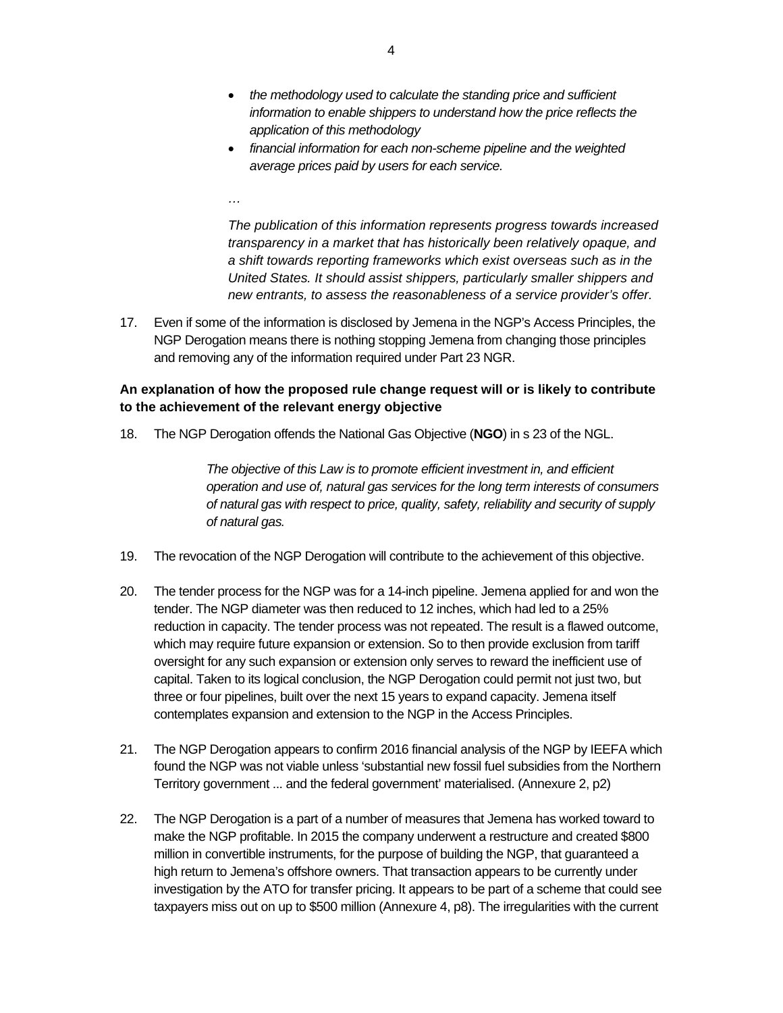- *the methodology used to calculate the standing price and sufficient information to enable shippers to understand how the price reflects the application of this methodology*
- *financial information for each non-scheme pipeline and the weighted average prices paid by users for each service.*

*The publication of this information represents progress towards increased transparency in a market that has historically been relatively opaque, and a shift towards reporting frameworks which exist overseas such as in the United States. It should assist shippers, particularly smaller shippers and new entrants, to assess the reasonableness of a service provider's offer.* 

17. Even if some of the information is disclosed by Jemena in the NGP's Access Principles, the NGP Derogation means there is nothing stopping Jemena from changing those principles and removing any of the information required under Part 23 NGR.

### **An explanation of how the proposed rule change request will or is likely to contribute to the achievement of the relevant energy objective**

18. The NGP Derogation offends the National Gas Objective (**NGO**) in s 23 of the NGL.

*…* 

*The objective of this Law is to promote efficient investment in, and efficient operation and use of, natural gas services for the long term interests of consumers of natural gas with respect to price, quality, safety, reliability and security of supply of natural gas.* 

- 19. The revocation of the NGP Derogation will contribute to the achievement of this objective.
- 20. The tender process for the NGP was for a 14-inch pipeline. Jemena applied for and won the tender. The NGP diameter was then reduced to 12 inches, which had led to a 25% reduction in capacity. The tender process was not repeated. The result is a flawed outcome, which may require future expansion or extension. So to then provide exclusion from tariff oversight for any such expansion or extension only serves to reward the inefficient use of capital. Taken to its logical conclusion, the NGP Derogation could permit not just two, but three or four pipelines, built over the next 15 years to expand capacity. Jemena itself contemplates expansion and extension to the NGP in the Access Principles.
- 21. The NGP Derogation appears to confirm 2016 financial analysis of the NGP by IEEFA which found the NGP was not viable unless 'substantial new fossil fuel subsidies from the Northern Territory government ... and the federal government' materialised. (Annexure 2, p2)
- 22. The NGP Derogation is a part of a number of measures that Jemena has worked toward to make the NGP profitable. In 2015 the company underwent a restructure and created \$800 million in convertible instruments, for the purpose of building the NGP, that guaranteed a high return to Jemena's offshore owners. That transaction appears to be currently under investigation by the ATO for transfer pricing. It appears to be part of a scheme that could see taxpayers miss out on up to \$500 million (Annexure 4, p8). The irregularities with the current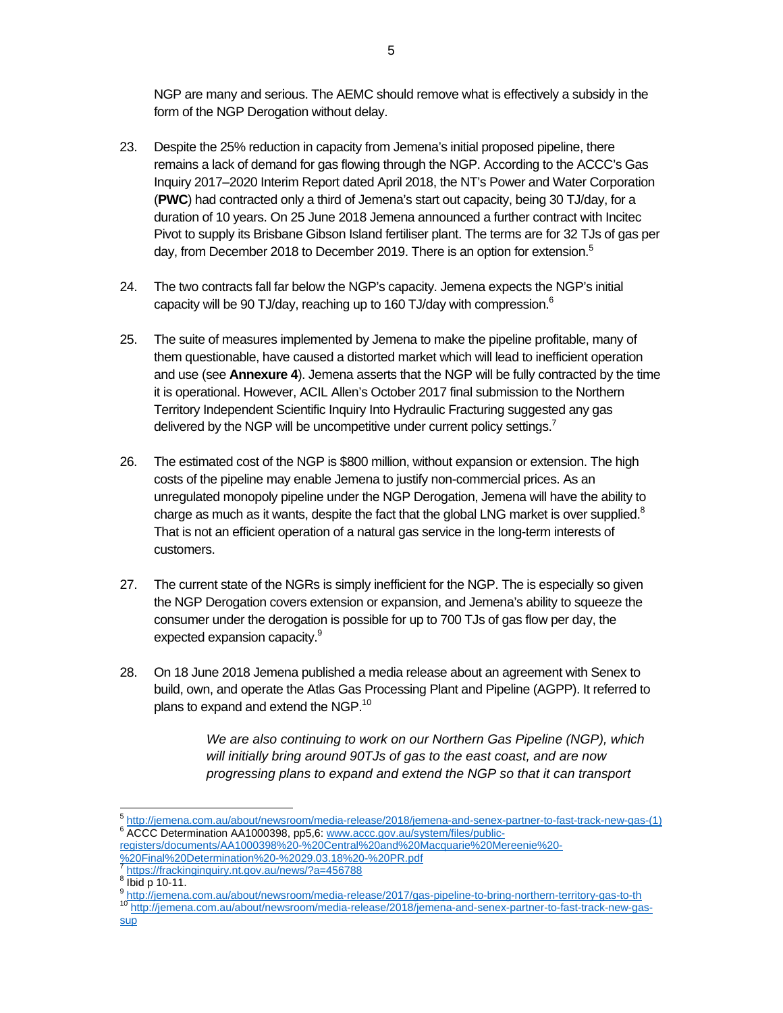NGP are many and serious. The AEMC should remove what is effectively a subsidy in the form of the NGP Derogation without delay.

- 23. Despite the 25% reduction in capacity from Jemena's initial proposed pipeline, there remains a lack of demand for gas flowing through the NGP. According to the ACCC's Gas Inquiry 2017–2020 Interim Report dated April 2018, the NT's Power and Water Corporation (**PWC**) had contracted only a third of Jemena's start out capacity, being 30 TJ/day, for a duration of 10 years. On 25 June 2018 Jemena announced a further contract with Incitec Pivot to supply its Brisbane Gibson Island fertiliser plant. The terms are for 32 TJs of gas per day, from December 2018 to December 2019. There is an option for extension.<sup>5</sup>
- 24. The two contracts fall far below the NGP's capacity. Jemena expects the NGP's initial capacity will be 90 TJ/day, reaching up to 160 TJ/day with compression. $6$
- 25. The suite of measures implemented by Jemena to make the pipeline profitable, many of them questionable, have caused a distorted market which will lead to inefficient operation and use (see **Annexure 4**). Jemena asserts that the NGP will be fully contracted by the time it is operational. However, ACIL Allen's October 2017 final submission to the Northern Territory Independent Scientific Inquiry Into Hydraulic Fracturing suggested any gas delivered by the NGP will be uncompetitive under current policy settings.<sup>7</sup>
- 26. The estimated cost of the NGP is \$800 million, without expansion or extension. The high costs of the pipeline may enable Jemena to justify non-commercial prices. As an unregulated monopoly pipeline under the NGP Derogation, Jemena will have the ability to charge as much as it wants, despite the fact that the global LNG market is over supplied. $8$ That is not an efficient operation of a natural gas service in the long-term interests of customers.
- 27. The current state of the NGRs is simply inefficient for the NGP. The is especially so given the NGP Derogation covers extension or expansion, and Jemena's ability to squeeze the consumer under the derogation is possible for up to 700 TJs of gas flow per day, the expected expansion capacity.<sup>9</sup>
- 28. On 18 June 2018 Jemena published a media release about an agreement with Senex to build, own, and operate the Atlas Gas Processing Plant and Pipeline (AGPP). It referred to plans to expand and extend the NGP.<sup>10</sup>

*We are also continuing to work on our Northern Gas Pipeline (NGP), which will initially bring around 90TJs of gas to the east coast, and are now progressing plans to expand and extend the NGP so that it can transport* 

 $^5$  http://jemena.com.au/about/newsroom/media-release/2018/jemena-and-senex-partner-to-fast-track-new-gas-(1)  $^6$  ACCC Determination AA1000308 ppE Europy gas av au/aveterm<sup>(fil</sup>es/aublic <sup>6</sup> ACCC Determination AA1000398, pp5,6: www.accc.gov.au/system/files/public-

registers/documents/AA1000398%20-%20Central%20and%20Macquarie%20Mereenie%20- %20Final%20Determination%20-%2029.03.18%20-%20PR.pdf

https://frackinginguiry.nt.gov.au/news/?a=456788

a ibid p 10-11.<br>
Politic //jemen<u>a.com.au/about/newsroom/media-release/2017/gas-pipeline-to-bring-northern-territory-gas-to-th</u>

<sup>10</sup> http://jemena.com.au/about/newsroom/media-release/2018/jemena-and-senex-partner-to-fast-track-new-gassup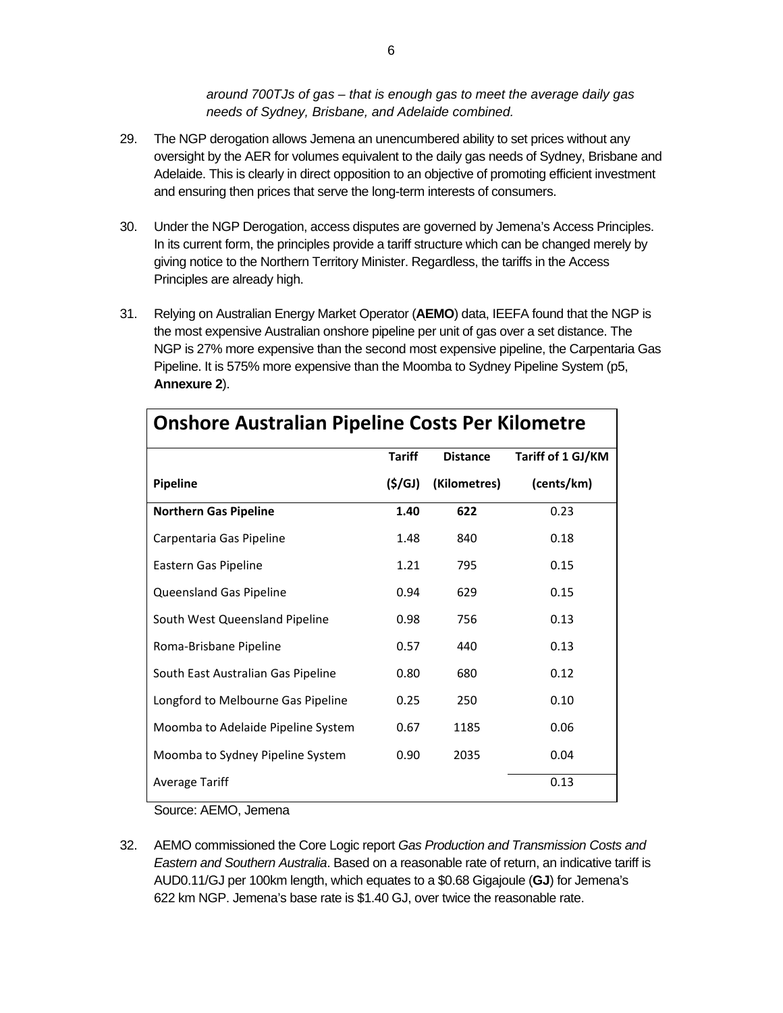*around 700TJs of gas – that is enough gas to meet the average daily gas needs of Sydney, Brisbane, and Adelaide combined.* 

- 29. The NGP derogation allows Jemena an unencumbered ability to set prices without any oversight by the AER for volumes equivalent to the daily gas needs of Sydney, Brisbane and Adelaide. This is clearly in direct opposition to an objective of promoting efficient investment and ensuring then prices that serve the long-term interests of consumers.
- 30. Under the NGP Derogation, access disputes are governed by Jemena's Access Principles. In its current form, the principles provide a tariff structure which can be changed merely by giving notice to the Northern Territory Minister. Regardless, the tariffs in the Access Principles are already high.
- 31. Relying on Australian Energy Market Operator (**AEMO**) data, IEEFA found that the NGP is the most expensive Australian onshore pipeline per unit of gas over a set distance. The NGP is 27% more expensive than the second most expensive pipeline, the Carpentaria Gas Pipeline. It is 575% more expensive than the Moomba to Sydney Pipeline System (p5, **Annexure 2**).

| Onshore Australian Pipeline Costs Per Kilometre |               |                 |                   |  |  |  |  |
|-------------------------------------------------|---------------|-----------------|-------------------|--|--|--|--|
|                                                 | <b>Tariff</b> | <b>Distance</b> | Tariff of 1 GJ/KM |  |  |  |  |
| Pipeline                                        | (S/GJ)        | (Kilometres)    | (cents/km)        |  |  |  |  |
| <b>Northern Gas Pipeline</b>                    | 1.40          | 622             | 0.23              |  |  |  |  |
| Carpentaria Gas Pipeline                        | 1.48          | 840             | 0.18              |  |  |  |  |
| Eastern Gas Pipeline                            | 1.21          | 795             | 0.15              |  |  |  |  |
| Queensland Gas Pipeline                         | 0.94          | 629             | 0.15              |  |  |  |  |
| South West Queensland Pipeline                  | 0.98          | 756             | 0.13              |  |  |  |  |
| Roma-Brisbane Pipeline                          | 0.57          | 440             | 0.13              |  |  |  |  |
| South East Australian Gas Pipeline              | 0.80          | 680             | 0.12              |  |  |  |  |
| Longford to Melbourne Gas Pipeline              | 0.25          | 250             | 0.10              |  |  |  |  |
| Moomba to Adelaide Pipeline System              | 0.67          | 1185            | 0.06              |  |  |  |  |
| Moomba to Sydney Pipeline System                | 0.90          | 2035            | 0.04              |  |  |  |  |
| <b>Average Tariff</b>                           |               |                 | 0.13              |  |  |  |  |

# **Onshore Australian Pipeline Costs Per Kilometre**

Source: AEMO, Jemena

32. AEMO commissioned the Core Logic report *Gas Production and Transmission Costs and Eastern and Southern Australia*. Based on a reasonable rate of return, an indicative tariff is AUD0.11/GJ per 100km length, which equates to a \$0.68 Gigajoule (**GJ**) for Jemena's 622 km NGP. Jemena's base rate is \$1.40 GJ, over twice the reasonable rate.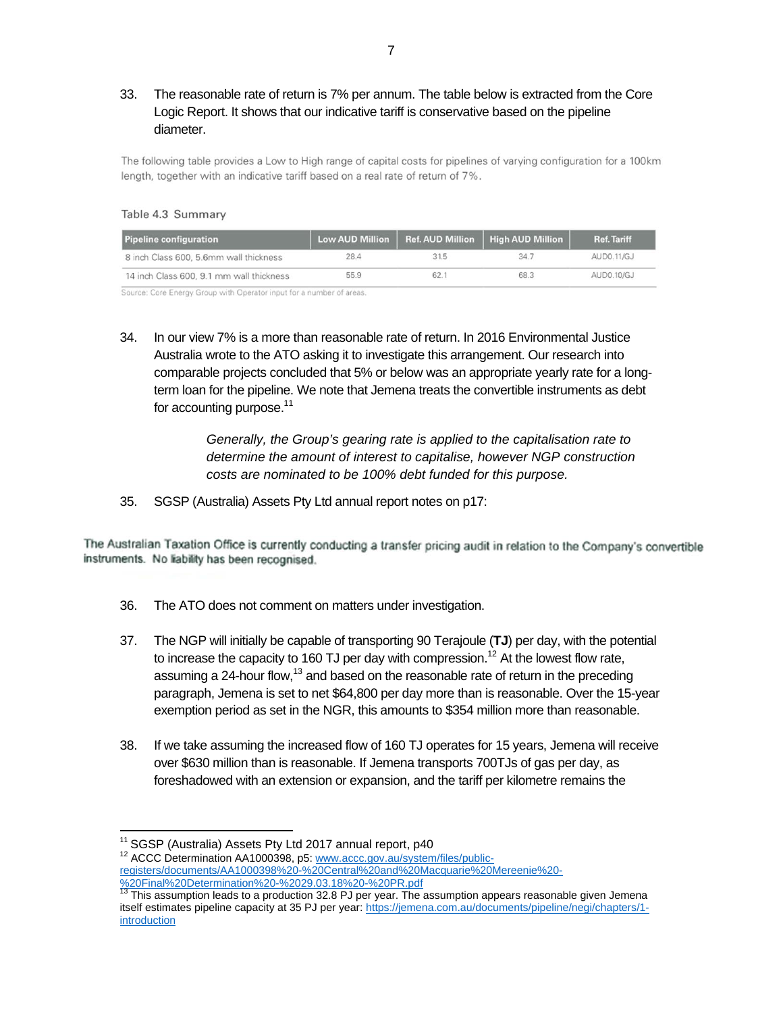## 33. The reasonable rate of return is 7% per annum. The table below is extracted from the Core Logic Report. It shows that our indicative tariff is conservative based on the pipeline diameter.

The following table provides a Low to High range of capital costs for pipelines of varying configuration for a 100km length, together with an indicative tariff based on a real rate of return of 7%.

#### Table 4.3 Summary

| <b>Pipeline configuration</b>            | <b>Low AUD Million</b> | Ref. AUD Million | <b>High AUD Million</b> | <b>Ref. Tariff</b> |
|------------------------------------------|------------------------|------------------|-------------------------|--------------------|
| 8 inch Class 600, 5,6mm wall thickness   | 28.4                   | 31.5             | 34.7                    | AUD0.11/GJ         |
| 14 inch Class 600, 9.1 mm wall thickness | 55.9                   | 62.              | 68.3                    | AUD0.10/GJ         |

Source: Core Energy Group with Operator input for a number of areas.

34. In our view 7% is a more than reasonable rate of return. In 2016 Environmental Justice Australia wrote to the ATO asking it to investigate this arrangement. Our research into comparable projects concluded that 5% or below was an appropriate yearly rate for a longterm loan for the pipeline. We note that Jemena treats the convertible instruments as debt for accounting purpose. $11$ 

> *Generally, the Group's gearing rate is applied to the capitalisation rate to determine the amount of interest to capitalise, however NGP construction costs are nominated to be 100% debt funded for this purpose.*

35. SGSP (Australia) Assets Pty Ltd annual report notes on p17:

The Australian Taxation Office is currently conducting a transfer pricing audit in relation to the Company's convertible instruments. No liability has been recognised.

- 36. The ATO does not comment on matters under investigation.
- 37. The NGP will initially be capable of transporting 90 Terajoule (**TJ**) per day, with the potential to increase the capacity to 160 TJ per day with compression.<sup>12</sup> At the lowest flow rate, assuming a 24-hour flow, $^{13}$  and based on the reasonable rate of return in the preceding paragraph, Jemena is set to net \$64,800 per day more than is reasonable. Over the 15-year exemption period as set in the NGR, this amounts to \$354 million more than reasonable.
- 38. If we take assuming the increased flow of 160 TJ operates for 15 years, Jemena will receive over \$630 million than is reasonable. If Jemena transports 700TJs of gas per day, as foreshadowed with an extension or expansion, and the tariff per kilometre remains the

<sup>&</sup>lt;sup>11</sup> SGSP (Australia) Assets Pty Ltd 2017 annual report, p40<br><sup>12</sup> ACCC Determination AA1000398, p5: www.accc.gov.au/system/files/publicregisters/documents/AA1000398%20-%20Central%20and%20Macquarie%20Mereenie%20-

<sup>%20</sup>Final%20Determination%20-%2029.03.18%20-%20PR.pdf 13 This assumption leads to a production 32.8 PJ per year. The assumption appears reasonable given Jemena itself estimates pipeline capacity at 35 PJ per year: https://jemena.com.au/documents/pipeline/negi/chapters/1**introduction**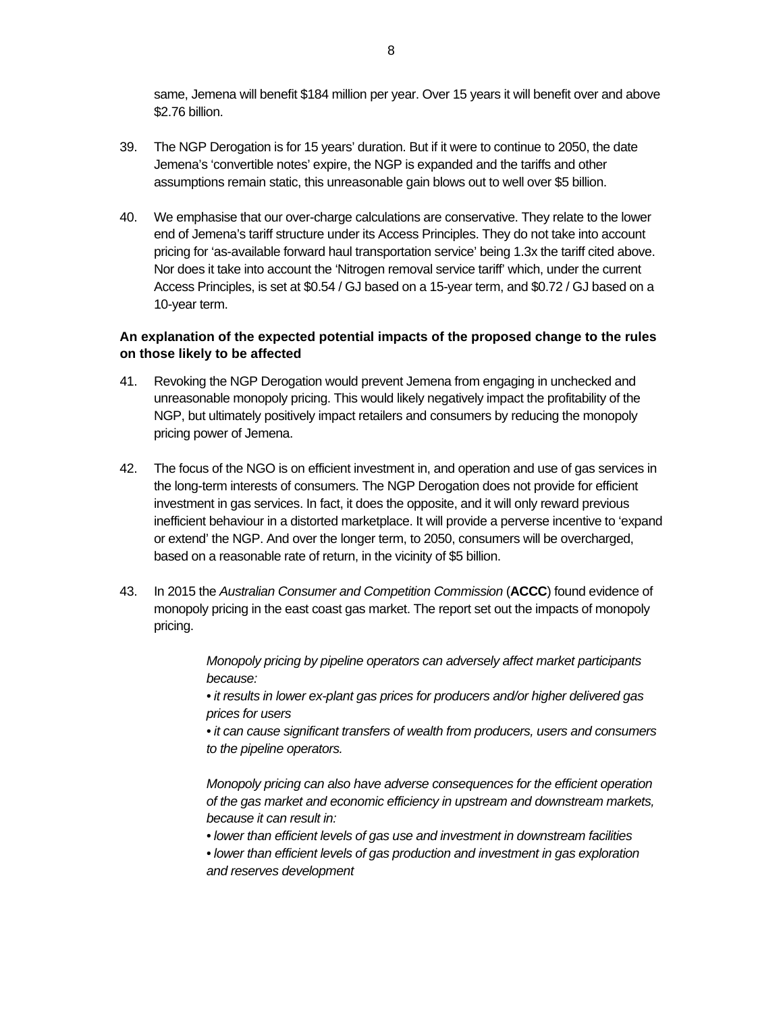same, Jemena will benefit \$184 million per year. Over 15 years it will benefit over and above \$2.76 billion.

- 39. The NGP Derogation is for 15 years' duration. But if it were to continue to 2050, the date Jemena's 'convertible notes' expire, the NGP is expanded and the tariffs and other assumptions remain static, this unreasonable gain blows out to well over \$5 billion.
- 40. We emphasise that our over-charge calculations are conservative. They relate to the lower end of Jemena's tariff structure under its Access Principles. They do not take into account pricing for 'as-available forward haul transportation service' being 1.3x the tariff cited above. Nor does it take into account the 'Nitrogen removal service tariff' which, under the current Access Principles, is set at \$0.54 / GJ based on a 15-year term, and \$0.72 / GJ based on a 10-year term.

#### **An explanation of the expected potential impacts of the proposed change to the rules on those likely to be affected**

- 41. Revoking the NGP Derogation would prevent Jemena from engaging in unchecked and unreasonable monopoly pricing. This would likely negatively impact the profitability of the NGP, but ultimately positively impact retailers and consumers by reducing the monopoly pricing power of Jemena.
- 42. The focus of the NGO is on efficient investment in, and operation and use of gas services in the long-term interests of consumers. The NGP Derogation does not provide for efficient investment in gas services. In fact, it does the opposite, and it will only reward previous inefficient behaviour in a distorted marketplace. It will provide a perverse incentive to 'expand or extend' the NGP. And over the longer term, to 2050, consumers will be overcharged, based on a reasonable rate of return, in the vicinity of \$5 billion.
- 43. In 2015 the *Australian Consumer and Competition Commission* (**ACCC**) found evidence of monopoly pricing in the east coast gas market. The report set out the impacts of monopoly pricing.

*Monopoly pricing by pipeline operators can adversely affect market participants because:* 

*• it results in lower ex-plant gas prices for producers and/or higher delivered gas prices for users* 

*• it can cause significant transfers of wealth from producers, users and consumers to the pipeline operators.* 

*Monopoly pricing can also have adverse consequences for the efficient operation of the gas market and economic efficiency in upstream and downstream markets, because it can result in:* 

- *lower than efficient levels of gas use and investment in downstream facilities*
- *lower than efficient levels of gas production and investment in gas exploration and reserves development*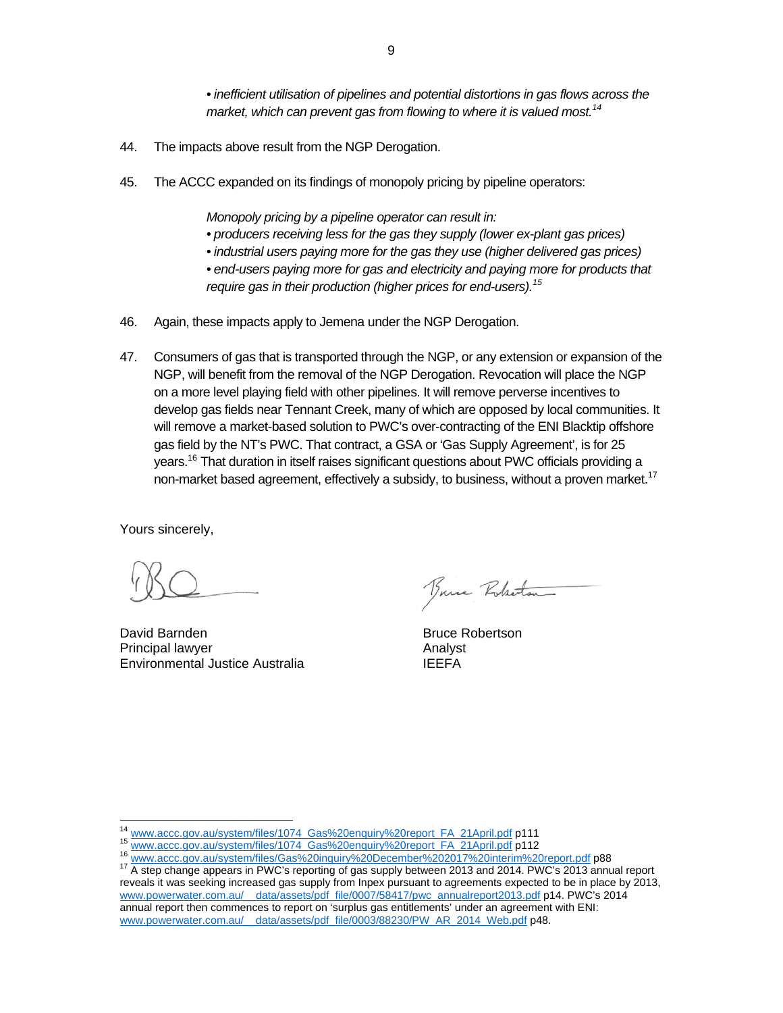*• inefficient utilisation of pipelines and potential distortions in gas flows across the*  market, which can prevent gas from flowing to where it is valued most.<sup>14</sup>

- 44. The impacts above result from the NGP Derogation.
- 45. The ACCC expanded on its findings of monopoly pricing by pipeline operators:

*Monopoly pricing by a pipeline operator can result in:* 

- *producers receiving less for the gas they supply (lower ex-plant gas prices)*
- *industrial users paying more for the gas they use (higher delivered gas prices)*

*• end-users paying more for gas and electricity and paying more for products that require gas in their production (higher prices for end-users).15*

- 46. Again, these impacts apply to Jemena under the NGP Derogation.
- 47. Consumers of gas that is transported through the NGP, or any extension or expansion of the NGP, will benefit from the removal of the NGP Derogation. Revocation will place the NGP on a more level playing field with other pipelines. It will remove perverse incentives to develop gas fields near Tennant Creek, many of which are opposed by local communities. It will remove a market-based solution to PWC's over-contracting of the ENI Blacktip offshore gas field by the NT's PWC. That contract, a GSA or 'Gas Supply Agreement', is for 25 years.<sup>16</sup> That duration in itself raises significant questions about PWC officials providing a non-market based agreement, effectively a subsidy, to business, without a proven market.<sup>17</sup>

Yours sincerely,

David Barnden Bruce Robertson Principal lawyer (Analyst Analyst Analyst Analyst Analyst Analyst Analyst Analyst Analyst Analyst Analyst Analyst Analyst Analyst Analyst Analyst Analyst Analyst Analyst Analyst Analyst Analyst Analyst Analyst Analyst Anal Environmental Justice Australia

Bruce Roberton

<sup>&</sup>lt;sup>14</sup> www.accc.gov.au/system/files/1074\_Gas%20enquiry%20report\_FA\_21April.pdf p111<br><sup>15</sup> www.accc.gov.au/system/files/1074\_Gas%20enquiry%20report\_FA\_21April.pdf p112<br><sup>16</sup> www.accc.gov.au/system/files/Gas%20inquiry%20December reveals it was seeking increased gas supply from Inpex pursuant to agreements expected to be in place by 2013, www.powerwater.com.au/\_\_data/assets/pdf\_file/0007/58417/pwc\_annualreport2013.pdf p14. PWC's 2014 annual report then commences to report on 'surplus gas entitlements' under an agreement with ENI: www.powerwater.com.au/ data/assets/pdf\_file/0003/88230/PW\_AR\_2014\_Web.pdf p48.